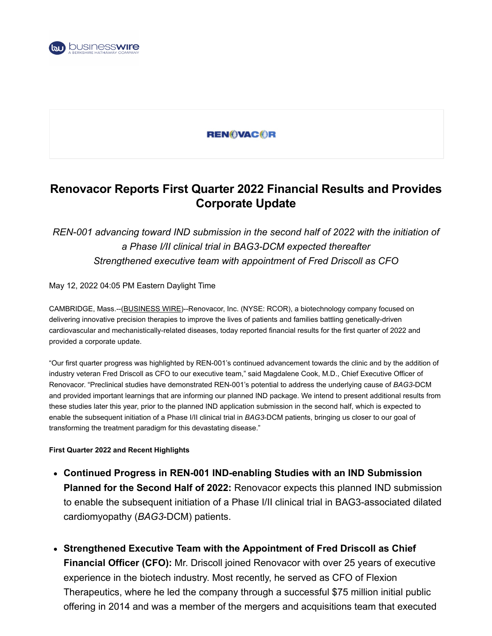

### **REN©VAC©R**

# **Renovacor Reports First Quarter 2022 Financial Results and Provides Corporate Update**

## *REN-001 advancing toward IND submission in the second half of 2022 with the initiation of a Phase I/II clinical trial in BAG3-DCM expected thereafter Strengthened executive team with appointment of Fred Driscoll as CFO*

#### May 12, 2022 04:05 PM Eastern Daylight Time

CAMBRIDGE, Mass.--[\(BUSINESS WIRE](https://www.businesswire.com/))--Renovacor, Inc. (NYSE: RCOR), a biotechnology company focused on delivering innovative precision therapies to improve the lives of patients and families battling genetically-driven cardiovascular and mechanistically-related diseases, today reported financial results for the first quarter of 2022 and provided a corporate update.

"Our first quarter progress was highlighted by REN-001's continued advancement towards the clinic and by the addition of industry veteran Fred Driscoll as CFO to our executive team," said Magdalene Cook, M.D., Chief Executive Officer of Renovacor. "Preclinical studies have demonstrated REN-001's potential to address the underlying cause of *BAG3-*DCM and provided important learnings that are informing our planned IND package. We intend to present additional results from these studies later this year, prior to the planned IND application submission in the second half, which is expected to enable the subsequent initiation of a Phase I/II clinical trial in *BAG3*-DCM patients, bringing us closer to our goal of transforming the treatment paradigm for this devastating disease."

#### **First Quarter 2022 and Recent Highlights**

- **Continued Progress in REN-001 IND-enabling Studies with an IND Submission Planned for the Second Half of 2022:** Renovacor expects this planned IND submission to enable the subsequent initiation of a Phase I/II clinical trial in BAG3-associated dilated cardiomyopathy (*BAG3*-DCM) patients.
- **Strengthened Executive Team with the Appointment of Fred Driscoll as Chief Financial Officer (CFO):** Mr. Driscoll joined Renovacor with over 25 years of executive experience in the biotech industry. Most recently, he served as CFO of Flexion Therapeutics, where he led the company through a successful \$75 million initial public offering in 2014 and was a member of the mergers and acquisitions team that executed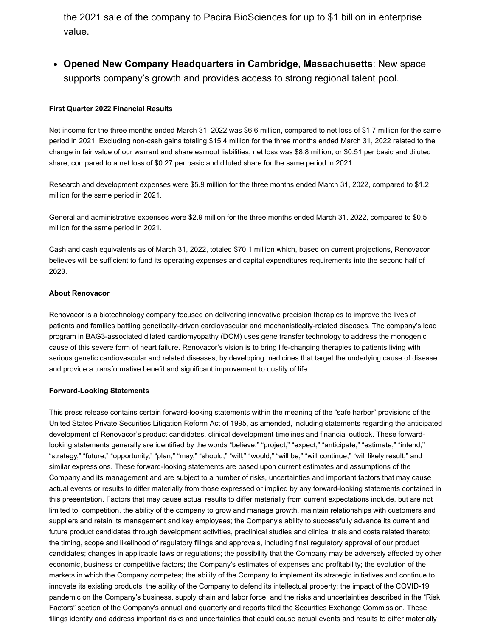the 2021 sale of the company to Pacira BioSciences for up to \$1 billion in enterprise value.

**Opened New Company Headquarters in Cambridge, Massachusetts**: New space supports company's growth and provides access to strong regional talent pool.

#### **First Quarter 2022 Financial Results**

Net income for the three months ended March 31, 2022 was \$6.6 million, compared to net loss of \$1.7 million for the same period in 2021. Excluding non-cash gains totaling \$15.4 million for the three months ended March 31, 2022 related to the change in fair value of our warrant and share earnout liabilities, net loss was \$8.8 million, or \$0.51 per basic and diluted share, compared to a net loss of \$0.27 per basic and diluted share for the same period in 2021.

Research and development expenses were \$5.9 million for the three months ended March 31, 2022, compared to \$1.2 million for the same period in 2021.

General and administrative expenses were \$2.9 million for the three months ended March 31, 2022, compared to \$0.5 million for the same period in 2021.

Cash and cash equivalents as of March 31, 2022, totaled \$70.1 million which, based on current projections, Renovacor believes will be sufficient to fund its operating expenses and capital expenditures requirements into the second half of 2023.

#### **About Renovacor**

Renovacor is a biotechnology company focused on delivering innovative precision therapies to improve the lives of patients and families battling genetically-driven cardiovascular and mechanistically-related diseases. The company's lead program in BAG3-associated dilated cardiomyopathy (DCM) uses gene transfer technology to address the monogenic cause of this severe form of heart failure. Renovacor's vision is to bring life-changing therapies to patients living with serious genetic cardiovascular and related diseases, by developing medicines that target the underlying cause of disease and provide a transformative benefit and significant improvement to quality of life.

#### **Forward-Looking Statements**

This press release contains certain forward-looking statements within the meaning of the "safe harbor" provisions of the United States Private Securities Litigation Reform Act of 1995, as amended, including statements regarding the anticipated development of Renovacor's product candidates, clinical development timelines and financial outlook. These forwardlooking statements generally are identified by the words "believe," "project," "expect," "anticipate," "estimate," "intend," "strategy," "future," "opportunity," "plan," "may," "should," "will," "would," "will be," "will continue," "will likely result," and similar expressions. These forward-looking statements are based upon current estimates and assumptions of the Company and its management and are subject to a number of risks, uncertainties and important factors that may cause actual events or results to differ materially from those expressed or implied by any forward-looking statements contained in this presentation. Factors that may cause actual results to differ materially from current expectations include, but are not limited to: competition, the ability of the company to grow and manage growth, maintain relationships with customers and suppliers and retain its management and key employees; the Company's ability to successfully advance its current and future product candidates through development activities, preclinical studies and clinical trials and costs related thereto; the timing, scope and likelihood of regulatory filings and approvals, including final regulatory approval of our product candidates; changes in applicable laws or regulations; the possibility that the Company may be adversely affected by other economic, business or competitive factors; the Company's estimates of expenses and profitability; the evolution of the markets in which the Company competes; the ability of the Company to implement its strategic initiatives and continue to innovate its existing products; the ability of the Company to defend its intellectual property; the impact of the COVID-19 pandemic on the Company's business, supply chain and labor force; and the risks and uncertainties described in the "Risk Factors" section of the Company's annual and quarterly and reports filed the Securities Exchange Commission. These filings identify and address important risks and uncertainties that could cause actual events and results to differ materially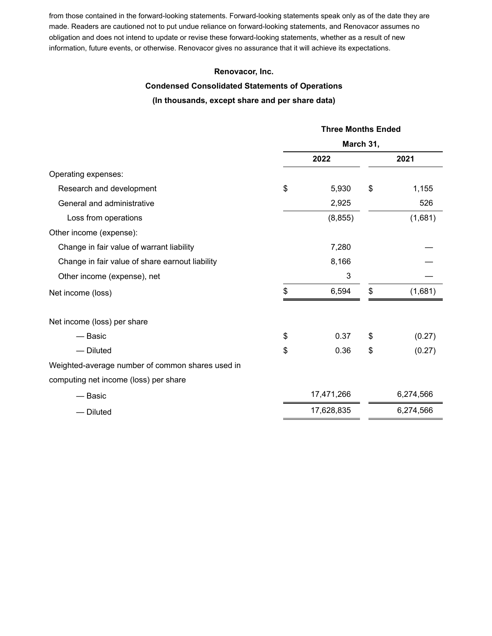from those contained in the forward-looking statements. Forward-looking statements speak only as of the date they are made. Readers are cautioned not to put undue reliance on forward-looking statements, and Renovacor assumes no obligation and does not intend to update or revise these forward-looking statements, whether as a result of new information, future events, or otherwise. Renovacor gives no assurance that it will achieve its expectations.

#### **Renovacor, Inc.**

## **Condensed Consolidated Statements of Operations**

### **(In thousands, except share and per share data)**

|                                                  | <b>Three Months Ended</b> |    |           |  |  |
|--------------------------------------------------|---------------------------|----|-----------|--|--|
|                                                  | March 31,                 |    |           |  |  |
|                                                  | 2022                      |    | 2021      |  |  |
| Operating expenses:                              |                           |    |           |  |  |
| Research and development                         | \$<br>5,930               | \$ | 1,155     |  |  |
| General and administrative                       | 2,925                     |    | 526       |  |  |
| Loss from operations                             | (8, 855)                  |    | (1,681)   |  |  |
| Other income (expense):                          |                           |    |           |  |  |
| Change in fair value of warrant liability        | 7,280                     |    |           |  |  |
| Change in fair value of share earnout liability  | 8,166                     |    |           |  |  |
| Other income (expense), net                      | 3                         |    |           |  |  |
| Net income (loss)                                | \$<br>6,594               | \$ | (1,681)   |  |  |
| Net income (loss) per share                      |                           |    |           |  |  |
| — Basic                                          | \$<br>0.37                | \$ | (0.27)    |  |  |
| $-$ Diluted                                      | \$<br>0.36                | \$ | (0.27)    |  |  |
| Weighted-average number of common shares used in |                           |    |           |  |  |
| computing net income (loss) per share            |                           |    |           |  |  |
| — Basic                                          | 17,471,266                |    | 6,274,566 |  |  |
| - Diluted                                        | 17,628,835                |    | 6,274,566 |  |  |